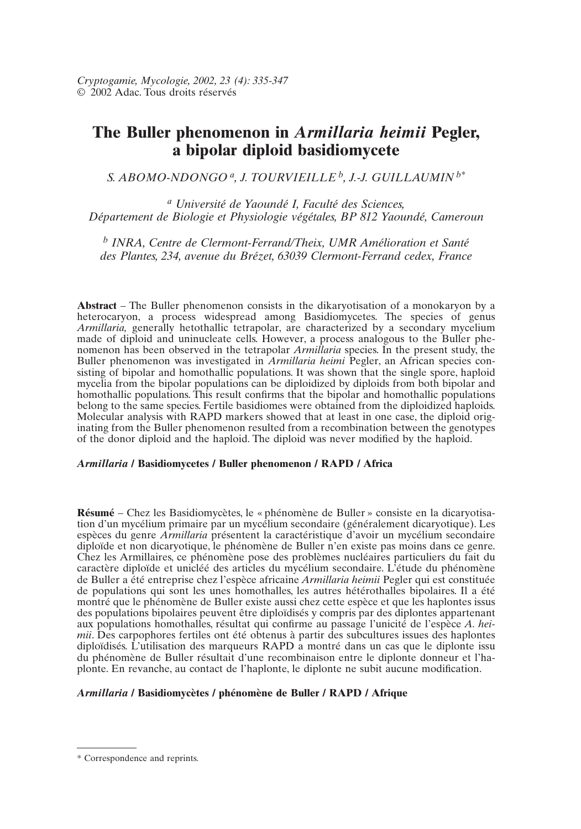# **The Buller phenomenon in** *Armillaria heimii* **Pegler, a bipolar diploid basidiomycete**

*S. ABOMO-NDONGO a, J. TOURVIEILLE b, J.-J. GUILLAUMIN b\**

*<sup>a</sup> Université de Yaoundé I, Faculté des Sciences, Département de Biologie et Physiologie végétales, BP 812 Yaoundé, Cameroun*

*<sup>b</sup> INRA, Centre de Clermont-Ferrand/Theix, UMR Amélioration et Santé des Plantes, 234, avenue du Brézet, 63039 Clermont-Ferrand cedex, France*

**Abstract** – The Buller phenomenon consists in the dikaryotisation of a monokaryon by a heterocaryon, a process widespread among Basidiomycetes. The species of genus *Armillaria*, generally hetothallic tetrapolar, are characterized by a secondary mycelium made of diploid and uninucleate cells. However, a process analogous to the Buller phenomenon has been observed in the tetrapolar *Armillaria* species. In the present study, the Buller phenomenon was investigated in *Armillaria heimi* Pegler, an African species consisting of bipolar and homothallic populations. It was shown that the single spore, haploid mycelia from the bipolar populations can be diploidized by diploids from both bipolar and homothallic populations. This result confirms that the bipolar and homothallic populations belong to the same species. Fertile basidiomes were obtained from the diploidized haploids. Molecular analysis with RAPD markers showed that at least in one case, the diploid originating from the Buller phenomenon resulted from a recombination between the genotypes of the donor diploid and the haploid. The diploid was never modified by the haploid.

#### *Armillaria* **/ Basidiomycetes / Buller phenomenon / RAPD / Africa**

**Résumé** – Chez les Basidiomycètes, le « phénomène de Buller » consiste en la dicaryotisation d'un mycélium primaire par un mycélium secondaire (généralement dicaryotique). Les espèces du genre *Armillaria* présentent la caractéristique d'avoir un mycélium secondaire diploïde et non dicaryotique, le phénomène de Buller n'en existe pas moins dans ce genre. Chez les Armillaires, ce phénomène pose des problèmes nucléaires particuliers du fait du caractère diploïde et unicléé des articles du mycélium secondaire. L'étude du phénomène de Buller a été entreprise chez l'espèce africaine *Armillaria heimii* Pegler qui est constituée de populations qui sont les unes homothalles, les autres hétérothalles bipolaires. Il a été montré que le phénomène de Buller existe aussi chez cette espèce et que les haplontes issus des populations bipolaires peuvent être diploïdisés y compris par des diplontes appartenant aux populations homothalles, résultat qui confirme au passage l'unicité de l'espèce *A. heimii*. Des carpophores fertiles ont été obtenus à partir des subcultures issues des haplontes diploïdisés. L'utilisation des marqueurs RAPD a montré dans un cas que le diplonte issu du phénomène de Buller résultait d'une recombinaison entre le diplonte donneur et l'haplonte. En revanche, au contact de l'haplonte, le diplonte ne subit aucune modification.

## *Armillaria* **/ Basidiomycètes / phénomène de Buller / RAPD / Afrique**

<sup>\*</sup> Correspondence and reprints.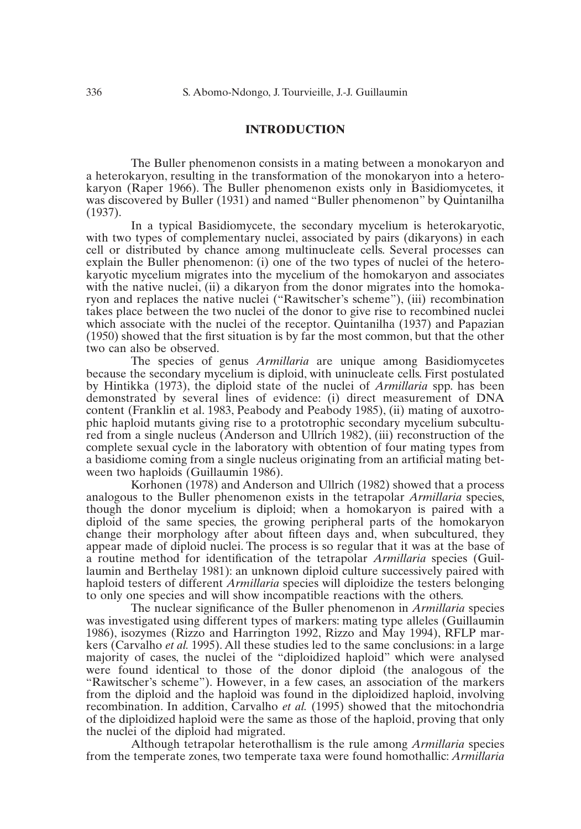#### **INTRODUCTION**

The Buller phenomenon consists in a mating between a monokaryon and a heterokaryon, resulting in the transformation of the monokaryon into a heterokaryon (Raper 1966). The Buller phenomenon exists only in Basidiomycetes, it was discovered by Buller (1931) and named "Buller phenomenon" by Quintanilha (1937).

In a typical Basidiomycete, the secondary mycelium is heterokaryotic, with two types of complementary nuclei, associated by pairs (dikaryons) in each cell or distributed by chance among multinucleate cells. Several processes can explain the Buller phenomenon: (i) one of the two types of nuclei of the heterokaryotic mycelium migrates into the mycelium of the homokaryon and associates with the native nuclei, (ii) a dikaryon from the donor migrates into the homokaryon and replaces the native nuclei ("Rawitscher's scheme"), (iii) recombination takes place between the two nuclei of the donor to give rise to recombined nuclei which associate with the nuclei of the receptor. Quintanilha (1937) and Papazian (1950) showed that the first situation is by far the most common, but that the other two can also be observed.

The species of genus *Armillaria* are unique among Basidiomycetes because the secondary mycelium is diploid, with uninucleate cells. First postulated by Hintikka (1973), the diploid state of the nuclei of *Armillaria* spp. has been demonstrated by several lines of evidence: (i) direct measurement of DNA content (Franklin et al. 1983, Peabody and Peabody 1985), (ii) mating of auxotrophic haploid mutants giving rise to a prototrophic secondary mycelium subcultured from a single nucleus (Anderson and Ullrich 1982), (iii) reconstruction of the complete sexual cycle in the laboratory with obtention of four mating types from a basidiome coming from a single nucleus originating from an artificial mating between two haploids (Guillaumin 1986).

Korhonen (1978) and Anderson and Ullrich (1982) showed that a process analogous to the Buller phenomenon exists in the tetrapolar *Armillaria* species, though the donor mycelium is diploid; when a homokaryon is paired with a diploid of the same species, the growing peripheral parts of the homokaryon change their morphology after about fifteen days and, when subcultured, they appear made of diploid nuclei. The process is so regular that it was at the base of a routine method for identification of the tetrapolar *Armillaria* species (Guillaumin and Berthelay 1981): an unknown diploid culture successively paired with haploid testers of different *Armillaria* species will diploidize the testers belonging to only one species and will show incompatible reactions with the others.

The nuclear significance of the Buller phenomenon in *Armillaria* species was investigated using different types of markers: mating type alleles (Guillaumin 1986), isozymes (Rizzo and Harrington 1992, Rizzo and May 1994), RFLP markers (Carvalho *et al.* 1995). All these studies led to the same conclusions: in a large majority of cases, the nuclei of the "diploidized haploid" which were analysed were found identical to those of the donor diploid (the analogous of the "Rawitscher's scheme"). However, in a few cases, an association of the markers from the diploid and the haploid was found in the diploidized haploid, involving recombination. In addition, Carvalho *et al.* (1995) showed that the mitochondria of the diploidized haploid were the same as those of the haploid, proving that only the nuclei of the diploid had migrated.

Although tetrapolar heterothallism is the rule among *Armillaria* species from the temperate zones, two temperate taxa were found homothallic: *Armillaria*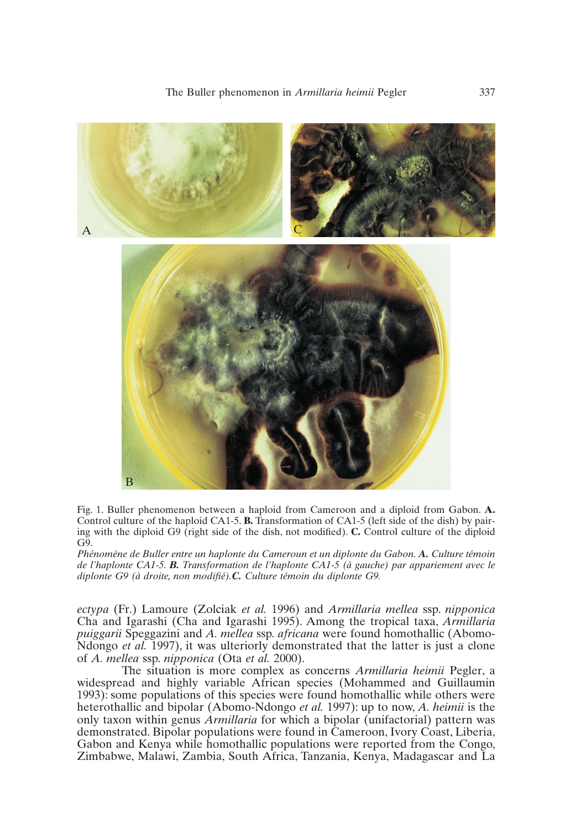

Fig. 1. Buller phenomenon between a haploid from Cameroon and a diploid from Gabon. **A.** Control culture of the haploid CA1-5. **B.** Transformation of CA1-5 (left side of the dish) by pairing with the diploid G9 (right side of the dish, not modified). **C.** Control culture of the diploid G9.

*Phénomène de Buller entre un haplonte du Cameroun et un diplonte du Gabon. A. Culture témoin de l'haplonte CA1-5. B. Transformation de l'haplonte CA1-5 (à gauche) par appariement avec le diplonte G9 (à droite, non modifié).C. Culture témoin du diplonte G9.*

*ectypa* (Fr.) Lamoure (Zolciak *et al.* 1996) and *Armillaria mellea* ssp. *nipponica* Cha and Igarashi (Cha and Igarashi 1995). Among the tropical taxa, *Armillaria puiggarii* Speggazini and *A. mellea* ssp*. africana* were found homothallic (Abomo-Ndongo *et al.* 1997), it was ulteriorly demonstrated that the latter is just a clone of *A. mellea* ssp. *nipponica* (Ota *et al.* 2000).

The situation is more complex as concerns *Armillaria heimii* Pegler, a widespread and highly variable African species (Mohammed and Guillaumin 1993): some populations of this species were found homothallic while others were heterothallic and bipolar (Abomo-Ndongo *et al.* 1997): up to now, *A. heimii* is the only taxon within genus *Armillaria* for which a bipolar (unifactorial) pattern was demonstrated. Bipolar populations were found in Cameroon, Ivory Coast, Liberia, Gabon and Kenya while homothallic populations were reported from the Congo, Zimbabwe, Malawi, Zambia, South Africa, Tanzania, Kenya, Madagascar and La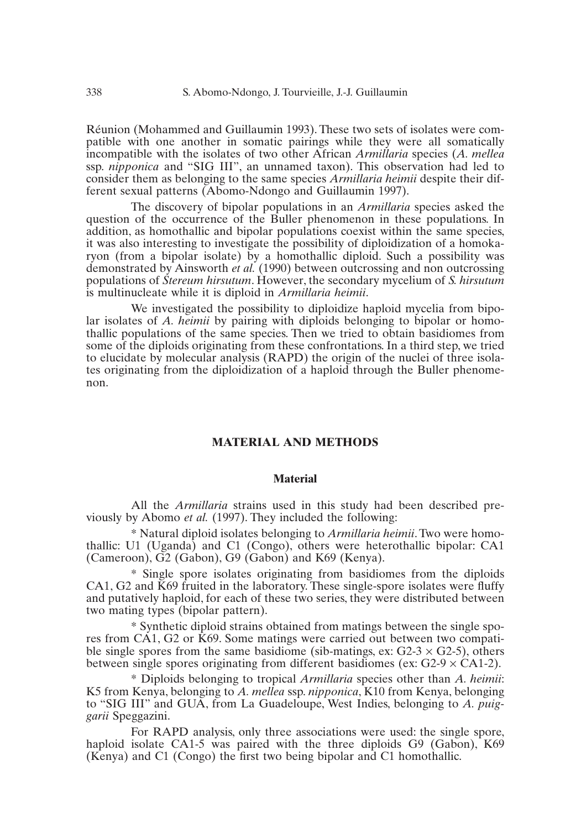Réunion (Mohammed and Guillaumin 1993). These two sets of isolates were compatible with one another in somatic pairings while they were all somatically incompatible with the isolates of two other African *Armillaria* species (*A. mellea* ssp. *nipponica* and "SIG III", an unnamed taxon). This observation had led to consider them as belonging to the same species *Armillaria heimii* despite their different sexual patterns (Abomo-Ndongo and Guillaumin 1997).

The discovery of bipolar populations in an *Armillaria* species asked the question of the occurrence of the Buller phenomenon in these populations. In addition, as homothallic and bipolar populations coexist within the same species, it was also interesting to investigate the possibility of diploidization of a homokaryon (from a bipolar isolate) by a homothallic diploid. Such a possibility was demonstrated by Ainsworth *et al.* (1990) between outcrossing and non outcrossing populations of *Stereum hirsutum*. However, the secondary mycelium of *S. hirsutum* is multinucleate while it is diploid in *Armillaria heimii*.

We investigated the possibility to diploidize haploid mycelia from bipolar isolates of *A. heimii* by pairing with diploids belonging to bipolar or homothallic populations of the same species. Then we tried to obtain basidiomes from some of the diploids originating from these confrontations. In a third step, we tried to elucidate by molecular analysis (RAPD) the origin of the nuclei of three isolates originating from the diploidization of a haploid through the Buller phenomenon.

## **MATERIAL AND METHODS**

#### **Material**

All the *Armillaria* strains used in this study had been described previously by Abomo *et al.* (1997). They included the following:

\* Natural diploid isolates belonging to *Armillaria heimii*. Two were homothallic: U1 (Uganda) and C1 (Congo), others were heterothallic bipolar: CA1 (Cameroon), G2 (Gabon), G9 (Gabon) and K69 (Kenya).

\* Single spore isolates originating from basidiomes from the diploids CA1, G2 and K69 fruited in the laboratory. These single-spore isolates were fluffy and putatively haploid, for each of these two series, they were distributed between two mating types (bipolar pattern).

\* Synthetic diploid strains obtained from matings between the single spores from CA1, G2 or K69. Some matings were carried out between two compatible single spores from the same basidiome (sib-matings, ex:  $G2-3 \times G2-5$ ), others between single spores originating from different basidiomes (ex:  $G2-9 \times CA1-2$ ).

\* Diploids belonging to tropical *Armillaria* species other than *A. heimii*: K5 from Kenya, belonging to *A. mellea* ssp. *nipponica*, K10 from Kenya, belonging to "SIG III" and GUA, from La Guadeloupe, West Indies, belonging to *A. puiggarii* Speggazini.

For RAPD analysis, only three associations were used: the single spore, haploid isolate CA1-5 was paired with the three diploids G9 (Gabon), K69 (Kenya) and C1 (Congo) the first two being bipolar and C1 homothallic.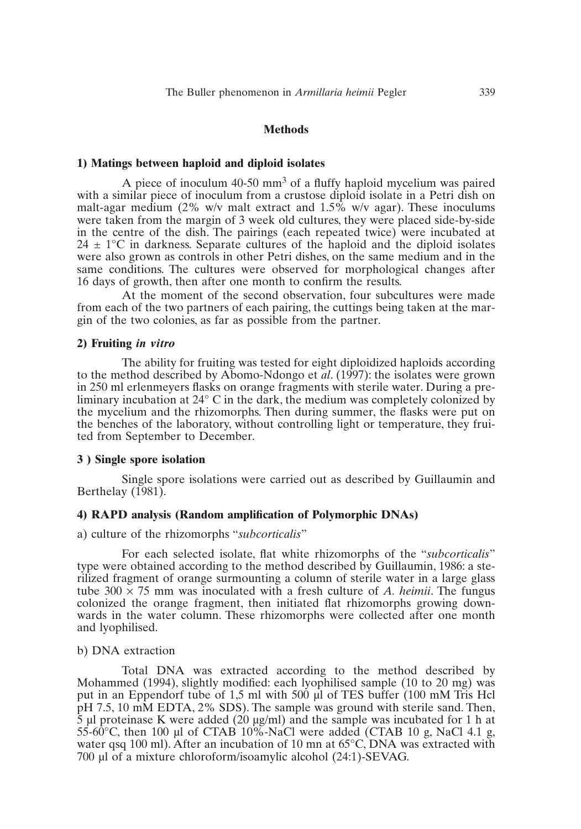#### **Methods**

#### **1) Matings between haploid and diploid isolates**

A piece of inoculum 40-50 mm<sup>3</sup> of a fluffy haploid mycelium was paired with a similar piece of inoculum from a crustose diploid isolate in a Petri dish on malt-agar medium (2% w/v malt extract and 1.5% w/v agar). These inoculums were taken from the margin of 3 week old cultures, they were placed side-by-side in the centre of the dish. The pairings (each repeated twice) were incubated at  $24 \pm 1$ °C in darkness. Separate cultures of the haploid and the diploid isolates were also grown as controls in other Petri dishes, on the same medium and in the same conditions. The cultures were observed for morphological changes after 16 days of growth, then after one month to confirm the results.

At the moment of the second observation, four subcultures were made from each of the two partners of each pairing, the cuttings being taken at the margin of the two colonies, as far as possible from the partner.

#### **2) Fruiting** *in vitro*

The ability for fruiting was tested for eight diploidized haploids according to the method described by Abomo-Ndongo et *al*. (1997): the isolates were grown in 250 ml erlenmeyers flasks on orange fragments with sterile water. During a preliminary incubation at 24° C in the dark, the medium was completely colonized by the mycelium and the rhizomorphs. Then during summer, the flasks were put on the benches of the laboratory, without controlling light or temperature, they fruited from September to December.

#### **3 ) Single spore isolation**

Single spore isolations were carried out as described by Guillaumin and Berthelay (1981).

## **4) RAPD analysis (Random amplification of Polymorphic DNAs)**

#### a) culture of the rhizomorphs "*subcorticalis*"

For each selected isolate, flat white rhizomorphs of the "*subcorticalis*" type were obtained according to the method described by Guillaumin, 1986: a sterilized fragment of orange surmounting a column of sterile water in a large glass tube  $300 \times 75$  mm was inoculated with a fresh culture of *A. heimii*. The fungus colonized the orange fragment, then initiated flat rhizomorphs growing downwards in the water column. These rhizomorphs were collected after one month and lyophilised.

#### b) DNA extraction

Total DNA was extracted according to the method described by Mohammed (1994), slightly modified: each lyophilised sample (10 to 20 mg) was put in an Eppendorf tube of 1,5 ml with 500  $\mu$ l of TES buffer (100 mM Tris Hcl pH 7.5, 10 mM EDTA, 2% SDS). The sample was ground with sterile sand. Then,  $\overline{5}$  µl proteinase K were added (20 µg/ml) and the sample was incubated for 1 h at 55-60°C, then 100 µl of CTAB 10%-NaCl were added (CTAB 10 g, NaCl 4.1 g, water qsq 100 ml). After an incubation of 10 mn at  $65^{\circ}$ C, DNA was extracted with 700 µl of a mixture chloroform/isoamylic alcohol (24:1)-SEVAG.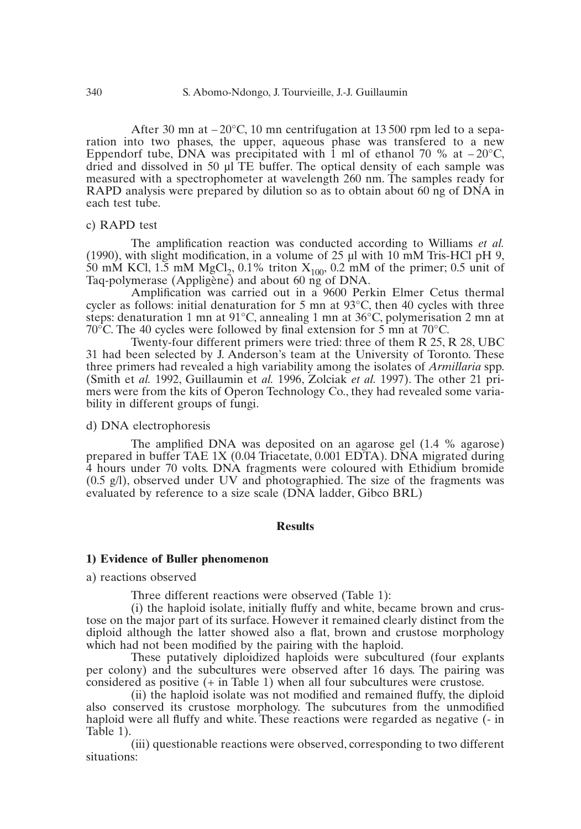After 30 mn at  $-20^{\circ}$ C, 10 mn centrifugation at 13 500 rpm led to a separation into two phases, the upper, aqueous phase was transfered to a new Eppendorf tube, DNA was precipitated with 1 ml of ethanol 70 % at  $-20^{\circ}$ C, dried and dissolved in 50 µl TE buffer. The optical density of each sample was measured with a spectrophometer at wavelength 260 nm. The samples ready for RAPD analysis were prepared by dilution so as to obtain about 60 ng of DNA in each test tube.

## c) RAPD test

The amplification reaction was conducted according to Williams *et al.* (1990), with slight modification, in a volume of 25  $\mu$ l with 10 mM Tris-HCl pH 9, 50 mM KCl, 1.5 mM MgCl<sub>2</sub>, 0.1% triton  $X_{100}$ , 0.2 mM of the primer; 0.5 unit of Taq-polymerase (Appligène) and about 60 ng of DNA.

Amplification was carried out in a 9600 Perkin Elmer Cetus thermal cycler as follows: initial denaturation for 5 mn at  $93^{\circ}$ C, then 40 cycles with three steps: denaturation 1 mn at 91°C, annealing 1 mn at 36°C, polymerisation 2 mn at 70 $^{\circ}$ C. The 40 cycles were followed by final extension for 5 mn at 70 $^{\circ}$ C.

Twenty-four different primers were tried: three of them R 25, R 28, UBC 31 had been selected by J. Anderson's team at the University of Toronto. These three primers had revealed a high variability among the isolates of *Armillaria* spp. (Smith et *al.* 1992, Guillaumin et *al.* 1996, Zolciak *et al.* 1997). The other 21 primers were from the kits of Operon Technology Co., they had revealed some variability in different groups of fungi.

## d) DNA electrophoresis

The amplified DNA was deposited on an agarose gel (1.4 % agarose) prepared in buffer TAE 1X (0.04 Triacetate, 0.001 EDTA). DNA migrated during 4 hours under 70 volts. DNA fragments were coloured with Ethidium bromide (0.5 g/l), observed under UV and photographied. The size of the fragments was evaluated by reference to a size scale (DNA ladder, Gibco BRL)

## **Results**

## **1) Evidence of Buller phenomenon**

## a) reactions observed

Three different reactions were observed (Table 1):

(i) the haploid isolate, initially fluffy and white, became brown and crustose on the major part of its surface. However it remained clearly distinct from the diploid although the latter showed also a flat, brown and crustose morphology which had not been modified by the pairing with the haploid.

These putatively diploidized haploids were subcultured (four explants per colony) and the subcultures were observed after 16 days. The pairing was considered as positive (+ in Table 1) when all four subcultures were crustose.

(ii) the haploid isolate was not modified and remained fluffy, the diploid also conserved its crustose morphology. The subcutures from the unmodified haploid were all fluffy and white. These reactions were regarded as negative (- in Table 1).

(iii) questionable reactions were observed, corresponding to two different situations: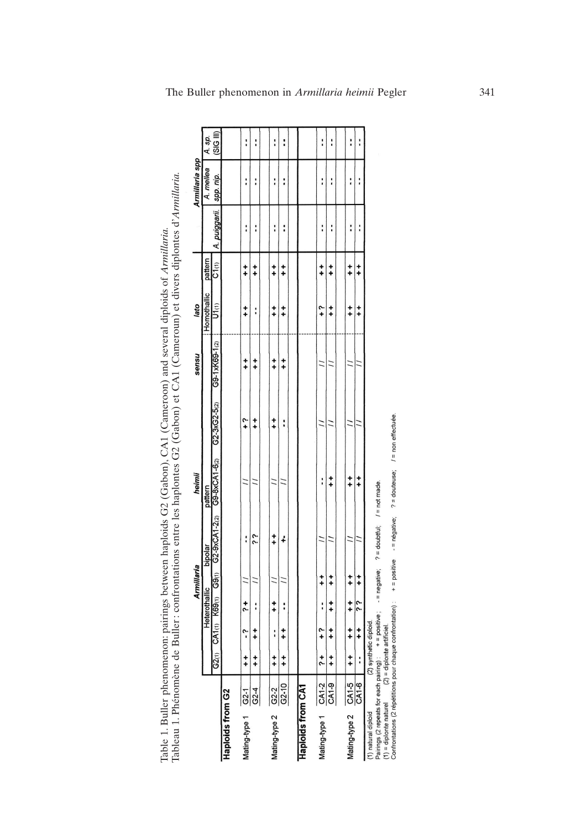Table 1. Buller phenomenon: pairings between haploids G2 (Gabon), CA1 (Cameroon) and several diploids of Armillaria.<br>Tableau 1. Phénomène de Buller: confrontations entre les haplontes G2 (Gabon) et CA1 (Cameroun) et divers Table 1. Buller phenomenon: pairings between haploids G2 (Gabon), CA1 (Cameroon) and several diploids of *Armillaria.*<br>Tableau 1. Phénomène de Buller: confrontations entre les haplontes G2 (Gabon) et CA1 (Cameroun) et dive

|                          |           |                          |               |               | Armillaria               |                                   | heimii        |                    | nsuas         | lato                |               |                                             | Armillaria spp |                |
|--------------------------|-----------|--------------------------|---------------|---------------|--------------------------|-----------------------------------|---------------|--------------------|---------------|---------------------|---------------|---------------------------------------------|----------------|----------------|
|                          |           |                          |               | Heterothallic |                          | bipolar                           | pattern       |                    |               | Homothallic pattern |               |                                             | A. mellea      | A. sp.         |
|                          |           | G2(1)                    |               |               |                          | CA1(1) K69(1) G9(1) G2-9xCA1-2(2) | G9-8xCA1-6(2) | $G2 - 3xG2 - 5(2)$ | G9-1xK69-1(2) | U1 <sub>(1)</sub>   | C1(1)         | A. puiggarii.   spp. nip.                   |                | (SIG III)      |
| Haploids from G2         |           |                          |               |               |                          |                                   |               |                    |               |                     |               |                                             |                |                |
| Mating-type 1            | $G2-1$    | $+$                      | Ŷ             | $\ddot{ }$    |                          | :                                 |               | 4                  | $^{+}_{+}$    | $\frac{+}{+}$       | $\frac{+}{+}$ | ֧֧֧֧֢ׅ֧֚֚֚֚֚֚֚֚֚֚֚֚֚֚֚֚֚֚֚֚֚֚֚֚֚֚֚֚֚֚֚֚֬֡֡֡ | :              | I              |
|                          | $G2-4$    | $\ddot{+}$               | $\ddot{ }$    | i             |                          | ć j                               |               | $\ddagger$         | $^{+}_{+}$    | :                   | $\frac{+}{+}$ | :                                           | i              | :              |
|                          |           |                          |               |               |                          |                                   |               |                    |               |                     |               |                                             |                |                |
| Mating-type 2 G2-2       |           | $\frac{+}{+}$            | :             | $\ddagger$    |                          | $\ddot{+}$                        |               | $\ddagger$         | $+$           | $^{+}_{+}$          | $\ddot{ }$    | í                                           | :              | :              |
|                          | $G2 - 10$ | $\ddagger$               | $\frac{+}{+}$ | ì             |                          | ÷                                 |               | :                  | $^{+}_{+}$    | $\ddagger$          | $\frac{+}{+}$ | i                                           | i              | I              |
|                          |           |                          |               |               |                          |                                   |               |                    |               |                     |               |                                             |                |                |
| <b>Haploids from CA1</b> |           |                          |               |               |                          |                                   |               |                    |               |                     |               |                                             |                |                |
| Mating-type 1            | $CA1-2$   | $\ddot{\phantom{0}}$     | م<br>+        | :             | $\ddot{+}$               |                                   | :             |                    |               | م .<br>+            | $\pmb{1}^+$   | :                                           | :              | $\mathbf{I}$   |
|                          | CA1-9     | $^\mathrm{+}_\mathrm{+}$ | $^{+}_{+}$    | $\ddagger$    | $\frac{+}{+}$            |                                   | $\ddot{+}$    |                    |               | $\frac{+}{+}$       | $\frac{+}{+}$ | :                                           | :              | i              |
|                          |           |                          |               |               |                          |                                   |               |                    |               |                     |               |                                             |                |                |
| Mating-type 2 CA1-5      |           | $+$                      | $\ddot{ }$    | $\ddot{ }$    | $^\mathrm{+}_\mathrm{+}$ |                                   | ۰<br>٠        |                    |               | $\frac{+}{+}$       | $\ddagger$    | :                                           | :              | :              |
|                          |           |                          | $\ddagger$    | زن            | $^{+}_{+}$               |                                   | $\ddot{ }$    |                    |               | $\ddagger$          | $\ddagger$    | :                                           | i              | $\ddot{\cdot}$ |
| (1) natural diploid      |           | (2) synthetic diploid.   |               |               |                          | .<br>.<br>.                       |               |                    |               |                     |               |                                             |                |                |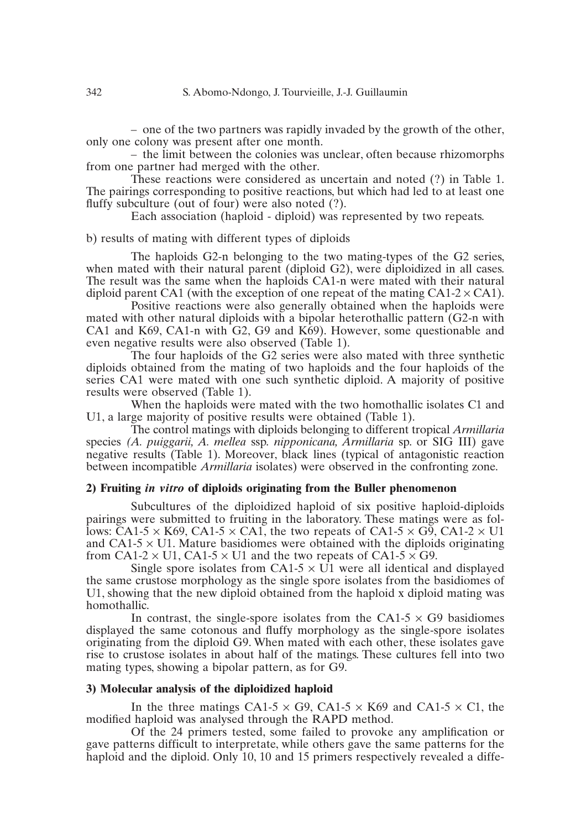– one of the two partners was rapidly invaded by the growth of the other, only one colony was present after one month.

– the limit between the colonies was unclear, often because rhizomorphs from one partner had merged with the other.

These reactions were considered as uncertain and noted (?) in Table 1. The pairings corresponding to positive reactions, but which had led to at least one fluffy subculture (out of four) were also noted (?).

Each association (haploid - diploid) was represented by two repeats.

b) results of mating with different types of diploids

The haploids G2-n belonging to the two mating-types of the G2 series, when mated with their natural parent (diploid G2), were diploidized in all cases. The result was the same when the haploids CA1-n were mated with their natural diploid parent CA1 (with the exception of one repeat of the mating CA1-2  $\times$  CA1).

Positive reactions were also generally obtained when the haploids were mated with other natural diploids with a bipolar heterothallic pattern (G2-n with CA1 and K69, CA1-n with G2, G9 and K69). However, some questionable and even negative results were also observed (Table 1).

The four haploids of the G2 series were also mated with three synthetic diploids obtained from the mating of two haploids and the four haploids of the series CA1 were mated with one such synthetic diploid. A majority of positive results were observed (Table 1).

When the haploids were mated with the two homothallic isolates C1 and U1, a large majority of positive results were obtained (Table 1).

The control matings with diploids belonging to different tropical *Armillaria* species *(A. puiggarii, A. mellea* ssp. *nipponicana, Armillaria* sp. or SIG III) gave negative results (Table 1). Moreover, black lines (typical of antagonistic reaction between incompatible *Armillaria* isolates) were observed in the confronting zone.

### **2) Fruiting** *in vitro* **of diploids originating from the Buller phenomenon**

Subcultures of the diploidized haploid of six positive haploid-diploids pairings were submitted to fruiting in the laboratory. These matings were as follows: CA1-5  $\times$  K69, CA1-5  $\times$  CA1, the two repeats of CA1-5  $\times$  G9, CA1-2  $\times$  U1 and  $CA1-5 \times U1$ . Mature basidiomes were obtained with the diploids originating from CA1-2  $\times$  U1, CA1-5  $\times$  U1 and the two repeats of CA1-5  $\times$  G9.

Single spore isolates from CA1-5  $\times$  U1 were all identical and displayed the same crustose morphology as the single spore isolates from the basidiomes of U1, showing that the new diploid obtained from the haploid x diploid mating was homothallic.

In contrast, the single-spore isolates from the CA1-5  $\times$  G9 basidiomes displayed the same cotonous and fluffy morphology as the single-spore isolates originating from the diploid G9. When mated with each other, these isolates gave rise to crustose isolates in about half of the matings. These cultures fell into two mating types, showing a bipolar pattern, as for G9.

### **3) Molecular analysis of the diploidized haploid**

In the three matings CA1-5  $\times$  G9, CA1-5  $\times$  K69 and CA1-5  $\times$  C1, the modified haploid was analysed through the RAPD method.

Of the 24 primers tested, some failed to provoke any amplification or gave patterns difficult to interpretate, while others gave the same patterns for the haploid and the diploid. Only 10, 10 and 15 primers respectively revealed a diffe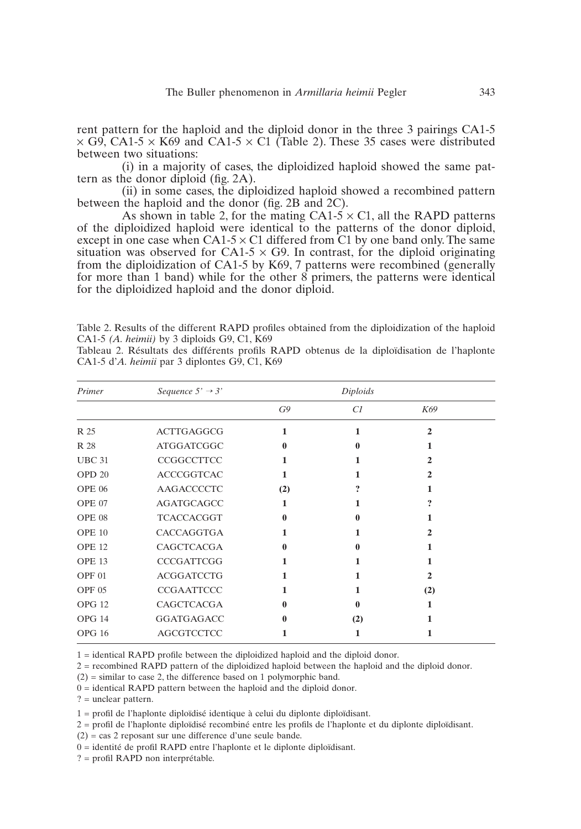rent pattern for the haploid and the diploid donor in the three 3 pairings CA1-5  $\times$  G9, CA1-5  $\times$  K69 and CA1-5  $\times$  C1 (Table 2). These 35 cases were distributed between two situations:

(i) in a majority of cases, the diploidized haploid showed the same pattern as the donor diploid (fig. 2A).

(ii) in some cases, the diploidized haploid showed a recombined pattern between the haploid and the donor (fig. 2B and 2C).

As shown in table 2, for the mating  $CA1-5 \times C1$ , all the RAPD patterns of the diploidized haploid were identical to the patterns of the donor diploid, except in one case when  $CA1-5 \times C1$  differed from C1 by one band only. The same situation was observed for CA1-5  $\times$  G9. In contrast, for the diploid originating from the diploidization of CA1-5 by K69, 7 patterns were recombined (generally for more than 1 band) while for the other 8 primers, the patterns were identical for the diploidized haploid and the donor diploid.

Table 2. Results of the different RAPD profiles obtained from the diploidization of the haploid CA1-5 *(A. heimii)* by 3 diploids G9, C1, K69

Tableau 2. Résultats des différents profils RAPD obtenus de la diploïdisation de l'haplonte CA1-5 d'*A. heimii* par 3 diplontes G9, C1, K69

| Primer            | Sequence $5' \rightarrow 3'$ |     | Diploids |                             |  |
|-------------------|------------------------------|-----|----------|-----------------------------|--|
|                   |                              | G9  | C1       | K69                         |  |
| R 25              | <b>ACTTGAGGCG</b>            | 1   | 1        | $\mathbf{2}$                |  |
| R 28              | <b>ATGGATCGGC</b>            | 0   | 0        |                             |  |
| <b>UBC 31</b>     | CCGGCCTTCC                   | 1   | 1        | 2                           |  |
| OPD <sub>20</sub> | <b>ACCCGGTCAC</b>            | 1   | 1        | 2                           |  |
| <b>OPE 06</b>     | AAGACCCCTC                   | (2) | 9        |                             |  |
| OPE 07            | AGATGCAGCC                   | 1   | 1        | 9                           |  |
| OPE 08            | <b>TCACCACGGT</b>            | 0   | 0        |                             |  |
| <b>OPE 10</b>     | CACCAGGTGA                   | 1   | 1        | $\mathcal{D}_{\mathcal{L}}$ |  |
| OPE <sub>12</sub> | CAGCTCACGA                   | 0   | 0        | 1                           |  |
| OPE <sub>13</sub> | <b>CCCGATTCGG</b>            | 1   | 1        | 1                           |  |
| OPF <sub>01</sub> | <b>ACGGATCCTG</b>            | 1   | 1        | 2                           |  |
| OPF <sub>05</sub> | <b>CCGAATTCCC</b>            | 1   | 1        | (2)                         |  |
| <b>OPG 12</b>     | CAGCTCACGA                   | 0   | 0        |                             |  |
| OPG 14            | <b>GGATGAGACC</b>            | 0   | (2)      |                             |  |
| <b>OPG 16</b>     | <b>AGCGTCCTCC</b>            |     | 1        |                             |  |

1 = identical RAPD profile between the diploidized haploid and the diploid donor.

2 = recombined RAPD pattern of the diploidized haploid between the haploid and the diploid donor.

 $(2)$  = similar to case 2, the difference based on 1 polymorphic band.

0 = identical RAPD pattern between the haploid and the diploid donor.

? = unclear pattern.

1 = profil de l'haplonte diploïdisé identique à celui du diplonte diploïdisant.

2 = profil de l'haplonte diploïdisé recombiné entre les profils de l'haplonte et du diplonte diploïdisant.

(2) = cas 2 reposant sur une difference d'une seule bande.

0 = identité de profil RAPD entre l'haplonte et le diplonte diploïdisant.

? = profil RAPD non interprétable.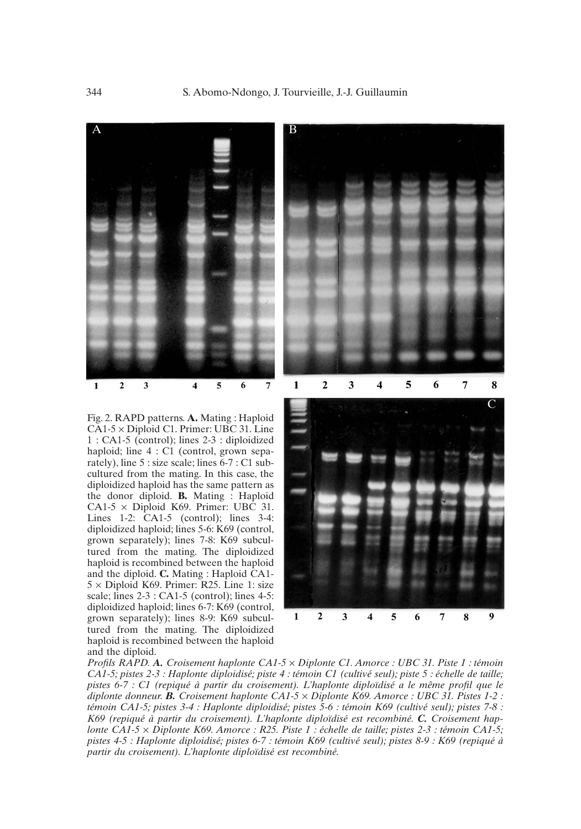

Fig. 2. RAPD patterns. **A.** Mating : Haploid CA1-5 × Diploid C1. Primer: UBC 31. Line 1 : CA1-5 (control); lines 2-3 : diploidized haploid; line  $4:Cl$  (control, grown separately), line 5 : size scale; lines 6-7 : C1 subcultured from the mating. In this case, the diploidized haploid has the same pattern as the donor diploid. **B.** Mating : Haploid CA1-5  $\times$  Diploid K69. Primer: UBC 31. Lines 1-2: CA1-5 (control); lines 3-4: diploidized haploid; lines 5-6: K69 (control, grown separately); lines 7-8: K69 subcultured from the mating. The diploidized haploid is recombined between the haploid and the diploid. **C.** Mating : Haploid CA1-  $5 \times$  Diploid K69. Primer: R25. Line 1: size scale; lines 2-3 : CA1-5 (control); lines 4-5: diploidized haploid; lines 6-7: K69 (control, grown separately); lines 8-9: K69 subcultured from the mating. The diploidized haploid is recombined between the haploid and the diploid.





*Profils RAPD. A. Croisement haplonte CA1-5* × *Diplonte C1. Amorce : UBC 31. Piste 1 : témoin CA1-5; pistes 2-3 : Haplonte diploidisé; piste 4 : témoin C1 (cultivé seul); piste 5 : échelle de taille; pistes 6-7 : C1 (repiqué à partir du croisement). L'haplonte diploïdisé a le même profil que le diplonte donneur. B. Croisement haplonte CA1-5* × *Diplonte K69. Amorce : UBC 31. Pistes 1-2 : témoin CA1-5; pistes 3-4 : Haplonte diploidisé; pistes 5-6 : témoin K69 (cultivé seul); pistes 7-8 : K69 (repiqué à partir du croisement). L'haplonte diploïdisé est recombiné. C. Croisement haplonte CA1-5* × *Diplonte K69. Amorce : R25. Piste 1 : échelle de taille; pistes 2-3 : témoin CA1-5; pistes 4-5 : Haplonte diploidisé; pistes 6-7 : témoin K69 (cultivé seul); pistes 8-9 : K69 (repiqué à partir du croisement). L'haplonte diploïdisé est recombiné.*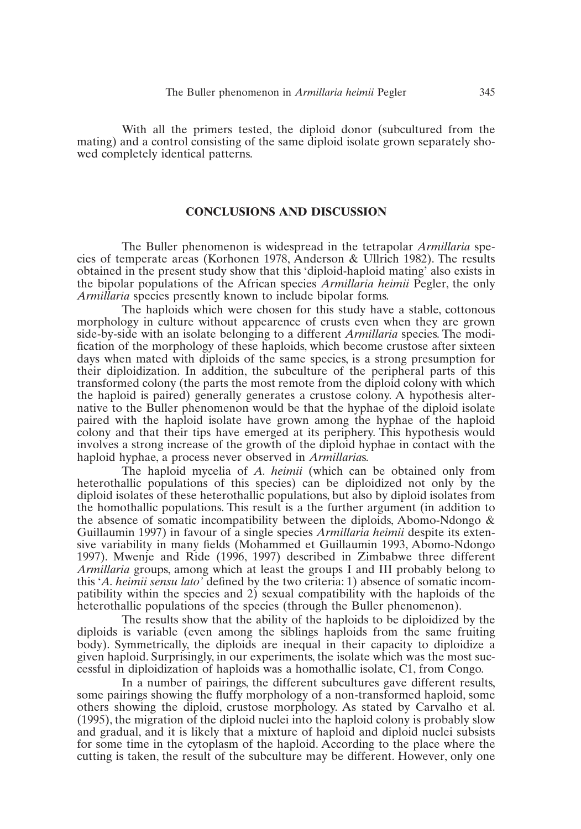With all the primers tested, the diploid donor (subcultured from the mating) and a control consisting of the same diploid isolate grown separately showed completely identical patterns.

## **CONCLUSIONS AND DISCUSSION**

The Buller phenomenon is widespread in the tetrapolar *Armillaria* species of temperate areas (Korhonen 1978, Anderson & Ullrich 1982). The results obtained in the present study show that this 'diploid-haploid mating' also exists in the bipolar populations of the African species *Armillaria heimii* Pegler, the only *Armillaria* species presently known to include bipolar forms.

The haploids which were chosen for this study have a stable, cottonous morphology in culture without appearence of crusts even when they are grown side-by-side with an isolate belonging to a different *Armillaria* species. The modification of the morphology of these haploids, which become crustose after sixteen days when mated with diploids of the same species, is a strong presumption for their diploidization. In addition, the subculture of the peripheral parts of this transformed colony (the parts the most remote from the diploid colony with which the haploid is paired) generally generates a crustose colony. A hypothesis alternative to the Buller phenomenon would be that the hyphae of the diploid isolate paired with the haploid isolate have grown among the hyphae of the haploid colony and that their tips have emerged at its periphery. This hypothesis would involves a strong increase of the growth of the diploid hyphae in contact with the haploid hyphae, a process never observed in *Armillaria*s.

The haploid mycelia of *A. heimii* (which can be obtained only from heterothallic populations of this species) can be diploidized not only by the diploid isolates of these heterothallic populations, but also by diploid isolates from the homothallic populations. This result is a the further argument (in addition to the absence of somatic incompatibility between the diploids, Abomo-Ndongo & Guillaumin 1997) in favour of a single species *Armillaria heimii* despite its extensive variability in many fields (Mohammed et Guillaumin 1993, Abomo-Ndongo 1997). Mwenje and Ride (1996, 1997) described in Zimbabwe three different *Armillaria* groups, among which at least the groups I and III probably belong to this '*A. heimii sensu lato'* defined by the two criteria: 1) absence of somatic incompatibility within the species and 2) sexual compatibility with the haploids of the heterothallic populations of the species (through the Buller phenomenon).

The results show that the ability of the haploids to be diploidized by the diploids is variable (even among the siblings haploids from the same fruiting body). Symmetrically, the diploids are inequal in their capacity to diploidize a given haploid. Surprisingly, in our experiments, the isolate which was the most successful in diploidization of haploids was a homothallic isolate, C1, from Congo.

In a number of pairings, the different subcultures gave different results, some pairings showing the fluffy morphology of a non-transformed haploid, some others showing the diploid, crustose morphology. As stated by Carvalho et al. (1995), the migration of the diploid nuclei into the haploid colony is probably slow and gradual, and it is likely that a mixture of haploid and diploid nuclei subsists for some time in the cytoplasm of the haploid. According to the place where the cutting is taken, the result of the subculture may be different. However, only one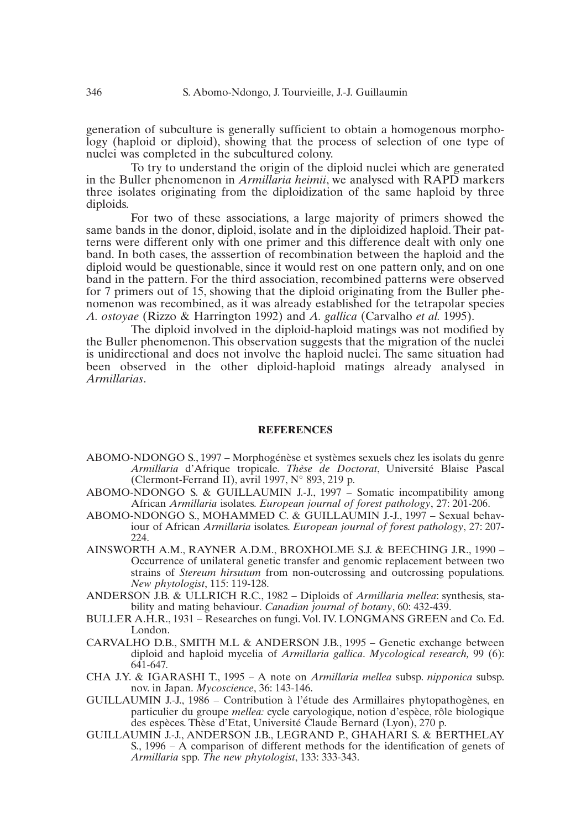generation of subculture is generally sufficient to obtain a homogenous morphology (haploid or diploid), showing that the process of selection of one type of nuclei was completed in the subcultured colony.

To try to understand the origin of the diploid nuclei which are generated in the Buller phenomenon in *Armillaria heimii*, we analysed with RAPD markers three isolates originating from the diploidization of the same haploid by three diploids.

For two of these associations, a large majority of primers showed the same bands in the donor, diploid, isolate and in the diploidized haploid. Their patterns were different only with one primer and this difference dealt with only one band. In both cases, the asssertion of recombination between the haploid and the diploid would be questionable, since it would rest on one pattern only, and on one band in the pattern. For the third association, recombined patterns were observed for 7 primers out of 15, showing that the diploid originating from the Buller phenomenon was recombined, as it was already established for the tetrapolar species *A. ostoyae* (Rizzo & Harrington 1992) and *A. gallica* (Carvalho *et al.* 1995).

The diploid involved in the diploid-haploid matings was not modified by the Buller phenomenon. This observation suggests that the migration of the nuclei is unidirectional and does not involve the haploid nuclei. The same situation had been observed in the other diploid-haploid matings already analysed in *Armillarias*.

#### **REFERENCES**

- ABOMO-NDONGO S., 1997 Morphogénèse et systèmes sexuels chez les isolats du genre *Armillaria* d'Afrique tropicale. *Thèse de Doctorat*, Université Blaise Pascal (Clermont-Ferrand II), avril 1997, N° 893, 219 p.
- ABOMO-NDONGO S. & GUILLAUMIN J.-J., 1997 Somatic incompatibility among African *Armillaria* isolates. *European journal of forest pathology*, 27: 201-206.
- ABOMO-NDONGO S., MOHAMMED C. & GUILLAUMIN J.-J., 1997 Sexual behaviour of African *Armillaria* isolates. *European journal of forest pathology*, 27: 207- 224.
- AINSWORTH A.M., RAYNER A.D.M., BROXHOLME S.J. & BEECHING J.R., 1990 Occurrence of unilateral genetic transfer and genomic replacement between two strains of *Stereum hirsutum* from non-outcrossing and outcrossing populations. *New phytologist*, 115: 119-128.
- ANDERSON J.B. & ULLRICH R.C., 1982 Diploids of *Armillaria mellea*: synthesis, stability and mating behaviour. *Canadian journal of botany*, 60: 432-439.
- BULLER A.H.R., 1931 Researches on fungi. Vol. IV. LONGMANS GREEN and Co. Ed. London.
- CARVALHO D.B., SMITH M.L & ANDERSON J.B., 1995 Genetic exchange between diploid and haploid mycelia of *Armillaria gallica*. *Mycological research,* 99 (6): 641-647*.*
- CHA J.Y. & IGARASHI T., 1995 A note on *Armillaria mellea* subsp. *nipponica* subsp. nov. in Japan. *Mycoscience*, 36: 143-146.
- GUILLAUMIN J.-J., 1986 Contribution à l'étude des Armillaires phytopathogènes, en particulier du groupe *mellea:* cycle caryologique, notion d'espèce, rôle biologique des espèces. Thèse d'Etat, Université Claude Bernard (Lyon), 270 p.
- GUILLAUMIN J.-J., ANDERSON J.B., LEGRAND P., GHAHARI S. & BERTHELAY S., 1996 – A comparison of different methods for the identification of genets of *Armillaria* spp. *The new phytologist*, 133: 333-343.